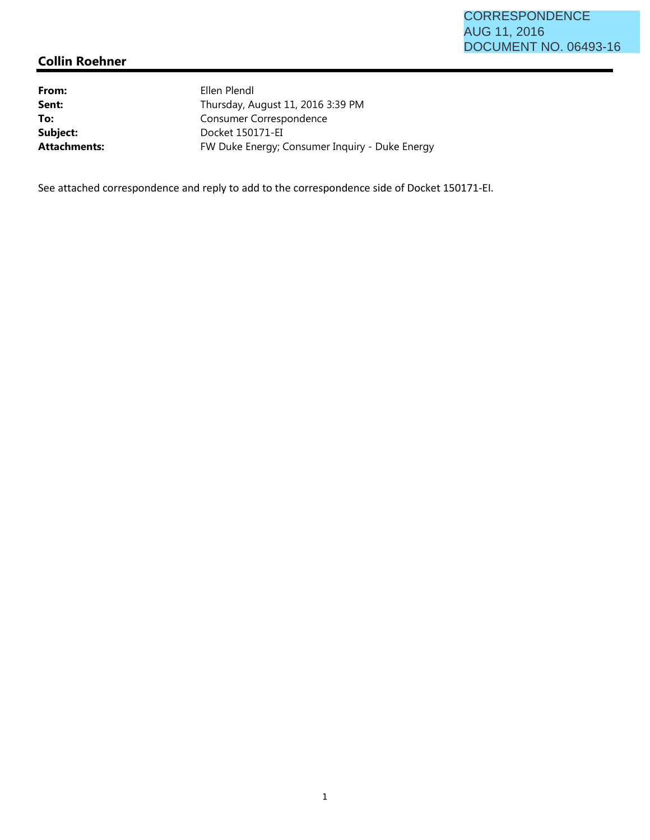## CORRESPONDENCE AUG 11, 2016 DOCUMENT NO. 06493-16

# **Collin Roehner**

From: Ellen Plendl To: Consumer Correspondence Subject: Docket 150171-EI

**Sent:** Thursday, August 11, 2016 3:39 PM Attachments: FW Duke Energy; Consumer Inquiry - Duke Energy

See attached correspondence and reply to add to the correspondence side of Docket 150171-EI.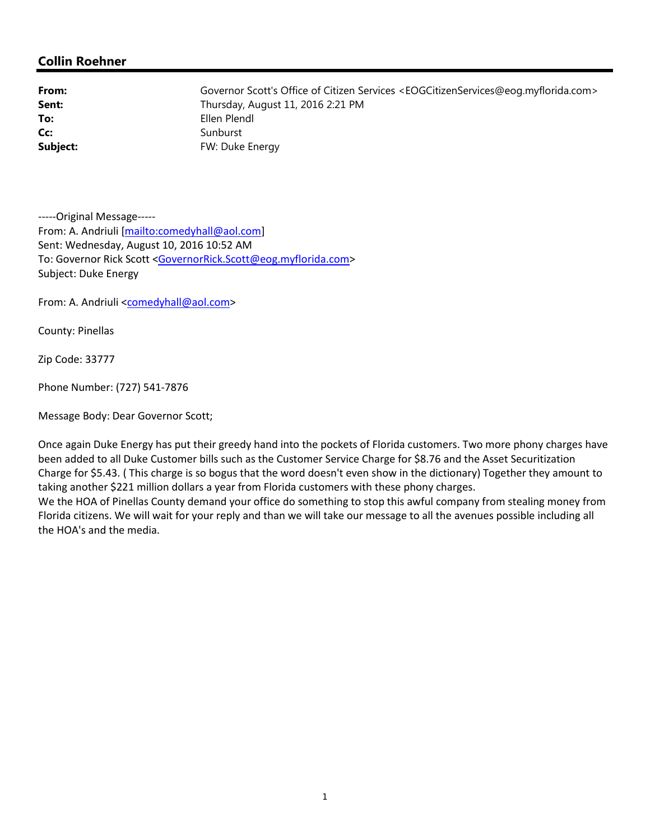### **Collin Roehner**

**Cc:** Sunburst

**From:** Governor Scott's Office of Citizen Services <EOGCitizenServices@eog.myflorida.com> **Sent:** Thursday, August 11, 2016 2:21 PM **To:** Ellen Plendl **Subject:** FW: Duke Energy

-----Original Message----- From: A. Andriuli [mailto:comedyhall@aol.com] Sent: Wednesday, August 10, 2016 10:52 AM To: Governor Rick Scott <GovernorRick.Scott@eog.myflorida.com> Subject: Duke Energy

From: A. Andriuli <comedyhall@aol.com>

County: Pinellas

Zip Code: 33777

Phone Number: (727) 541-7876

Message Body: Dear Governor Scott;

Once again Duke Energy has put their greedy hand into the pockets of Florida customers. Two more phony charges have been added to all Duke Customer bills such as the Customer Service Charge for \$8.76 and the Asset Securitization Charge for \$5.43. ( This charge is so bogus that the word doesn't even show in the dictionary) Together they amount to taking another \$221 million dollars a year from Florida customers with these phony charges. We the HOA of Pinellas County demand your office do something to stop this awful company from stealing money from Florida citizens. We will wait for your reply and than we will take our message to all the avenues possible including all the HOA's and the media.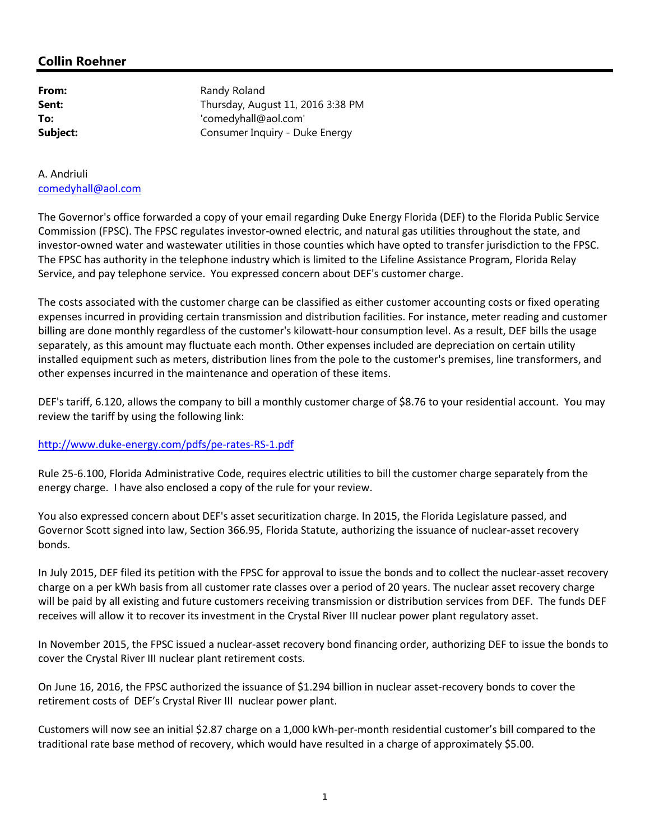## **Collin Roehner**

| From:    |  |
|----------|--|
| Sent:    |  |
| To:      |  |
| Subject: |  |

**Randy Roland Sent:** Thursday, August 11, 2016 3:38 PM **To:** 'comedyhall@aol.com' **Subject:** Consumer Inquiry - Duke Energy

#### A. Andriuli comedyhall@aol.com

The Governor's office forwarded a copy of your email regarding Duke Energy Florida (DEF) to the Florida Public Service Commission (FPSC). The FPSC regulates investor-owned electric, and natural gas utilities throughout the state, and investor-owned water and wastewater utilities in those counties which have opted to transfer jurisdiction to the FPSC. The FPSC has authority in the telephone industry which is limited to the Lifeline Assistance Program, Florida Relay Service, and pay telephone service. You expressed concern about DEF's customer charge.

The costs associated with the customer charge can be classified as either customer accounting costs or fixed operating expenses incurred in providing certain transmission and distribution facilities. For instance, meter reading and customer billing are done monthly regardless of the customer's kilowatt-hour consumption level. As a result, DEF bills the usage separately, as this amount may fluctuate each month. Other expenses included are depreciation on certain utility installed equipment such as meters, distribution lines from the pole to the customer's premises, line transformers, and other expenses incurred in the maintenance and operation of these items.

DEF's tariff, 6.120, allows the company to bill a monthly customer charge of \$8.76 to your residential account. You may review the tariff by using the following link:

#### http://www.duke-energy.com/pdfs/pe-rates-RS-1.pdf

Rule 25-6.100, Florida Administrative Code, requires electric utilities to bill the customer charge separately from the energy charge. I have also enclosed a copy of the rule for your review.

You also expressed concern about DEF's asset securitization charge. In 2015, the Florida Legislature passed, and Governor Scott signed into law, Section 366.95, Florida Statute, authorizing the issuance of nuclear-asset recovery bonds.

In July 2015, DEF filed its petition with the FPSC for approval to issue the bonds and to collect the nuclear-asset recovery charge on a per kWh basis from all customer rate classes over a period of 20 years. The nuclear asset recovery charge will be paid by all existing and future customers receiving transmission or distribution services from DEF. The funds DEF receives will allow it to recover its investment in the Crystal River III nuclear power plant regulatory asset.

In November 2015, the FPSC issued a nuclear-asset recovery bond financing order, authorizing DEF to issue the bonds to cover the Crystal River III nuclear plant retirement costs.

On June 16, 2016, the FPSC authorized the issuance of \$1.294 billion in nuclear asset-recovery bonds to cover the retirement costs of DEF's Crystal River III nuclear power plant.

Customers will now see an initial \$2.87 charge on a 1,000 kWh-per-month residential customer's bill compared to the traditional rate base method of recovery, which would have resulted in a charge of approximately \$5.00.